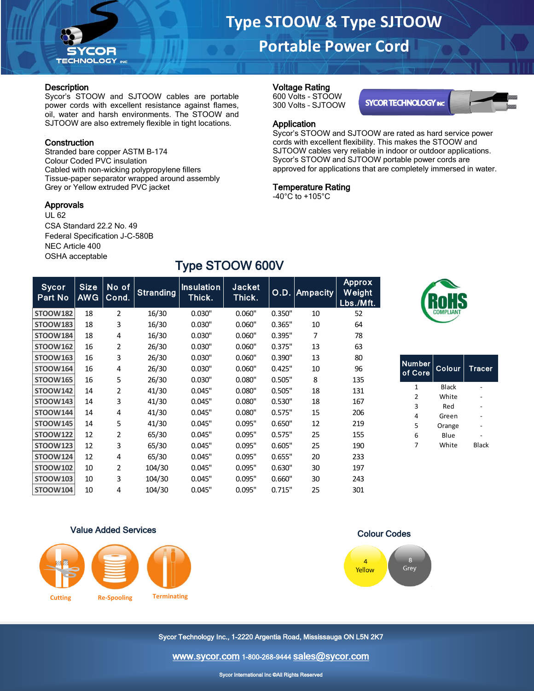

## **Portable Power Cord**

Sycor's STOOW and SJTOOW are rated as hard service power cords with excellent flexibility. This makes the STOOW and SJTOOW cables very reliable in indoor or outdoor applications. Sycor's STOOW and SJTOOW portable power cords are approved for applications that are completely immersed in water.

**SYCOR TECHNOLOGY INC** 

Voltage Rating 600 Volts - STOOW 300 Volts – SJTOOW

Application

Temperature Rating -40°C to +105°C

#### **Description**

Sycor's STOOW and SJTOOW cables are portable power cords with excellent resistance against flames, oil, water and harsh environments. The STOOW and SJTOOW are also extremely flexible in tight locations.

### **Construction**

Stranded bare copper ASTM B-174 Colour Coded PVC insulation Cabled with non-wicking polypropylene fillers Tissue-paper separator wrapped around assembly Grey or Yellow extruded PVC jacket

#### Approvals

UL 62 CSA Standard 22.2 No. 49 Federal Specification J-C-580B NEC Article 400 OSHA acceptable

COR **TECHNOLOGY** INC

# Type STOOW 600V

| Sycor<br>Part No | <b>Size</b><br><b>AWG</b> | No of<br>Cond. | <b>Stranding</b> | <b>Insulation</b><br>Thick. | <b>Jacket</b><br>Thick. | O.D.   | Ampacity | <b>Approx</b><br>Weight<br>Lbs./Mft. |
|------------------|---------------------------|----------------|------------------|-----------------------------|-------------------------|--------|----------|--------------------------------------|
| <b>STOOW182</b>  | 18                        | $\overline{2}$ | 16/30            | 0.030"                      | 0.060"                  | 0.350" | 10       | 52                                   |
| <b>STOOW183</b>  | 18                        | 3              | 16/30            | 0.030"                      | 0.060"                  | 0.365" | 10       | 64                                   |
| <b>STOOW184</b>  | 18                        | 4              | 16/30            | 0.030"                      | 0.060"                  | 0.395" | 7        | 78                                   |
| <b>STOOW162</b>  | 16                        | $\overline{2}$ | 26/30            | 0.030"                      | 0.060"                  | 0.375" | 13       | 63                                   |
| <b>STOOW163</b>  | 16                        | 3              | 26/30            | 0.030"                      | 0.060"                  | 0.390" | 13       | 80                                   |
| <b>STOOW164</b>  | 16                        | 4              | 26/30            | 0.030"                      | 0.060"                  | 0.425" | 10       | 96                                   |
| <b>STOOW165</b>  | 16                        | 5              | 26/30            | 0.030"                      | 0.080"                  | 0.505" | 8        | 135                                  |
| <b>STOOW142</b>  | 14                        | 2              | 41/30            | 0.045"                      | 0.080"                  | 0.505" | 18       | 131                                  |
| <b>STOOW143</b>  | 14                        | 3              | 41/30            | 0.045"                      | 0.080"                  | 0.530" | 18       | 167                                  |
| <b>STOOW144</b>  | 14                        | 4              | 41/30            | 0.045"                      | 0.080"                  | 0.575" | 15       | 206                                  |
| <b>STOOW145</b>  | 14                        | 5              | 41/30            | 0.045"                      | 0.095"                  | 0.650" | 12       | 219                                  |
| <b>STOOW122</b>  | 12                        | $\overline{2}$ | 65/30            | 0.045"                      | 0.095"                  | 0.575" | 25       | 155                                  |
| <b>STOOW123</b>  | 12                        | 3              | 65/30            | 0.045"                      | 0.095"                  | 0.605" | 25       | 190                                  |
| <b>STOOW124</b>  | 12                        | 4              | 65/30            | 0.045"                      | 0.095"                  | 0.655" | 20       | 233                                  |
| <b>STOOW102</b>  | 10                        | 2              | 104/30           | 0.045"                      | 0.095"                  | 0.630" | 30       | 197                                  |
| <b>STOOW103</b>  | 10                        | 3              | 104/30           | 0.045"                      | 0.095"                  | 0.660" | 30       | 243                                  |
| <b>STOOW104</b>  | 10                        | 4              | 104/30           | 0.045"                      | 0.095"                  | 0.715" | 25       | 301                                  |



| <b>Number</b><br>of Core | Colour | <b>Tracer</b> |
|--------------------------|--------|---------------|
| 1                        | Black  |               |
| 2                        | White  |               |
| 3                        | Red    |               |
| 4                        | Green  |               |
| 5                        | Orange |               |
| 6                        | Blue   |               |
| 7                        | White  | Black         |
|                          |        |               |

#### Value Added Services



Colour Codes



Sycor Technology Inc., 1-2220 Argentia Road, Mississauga ON L5N 2K7

[www.sycor.com](http://www.sycor.com/) 1-800-268-9444 [sales@sycor.com](mailto:sales@sycor.com)

Sycor International Inc ©All Rights Reserved